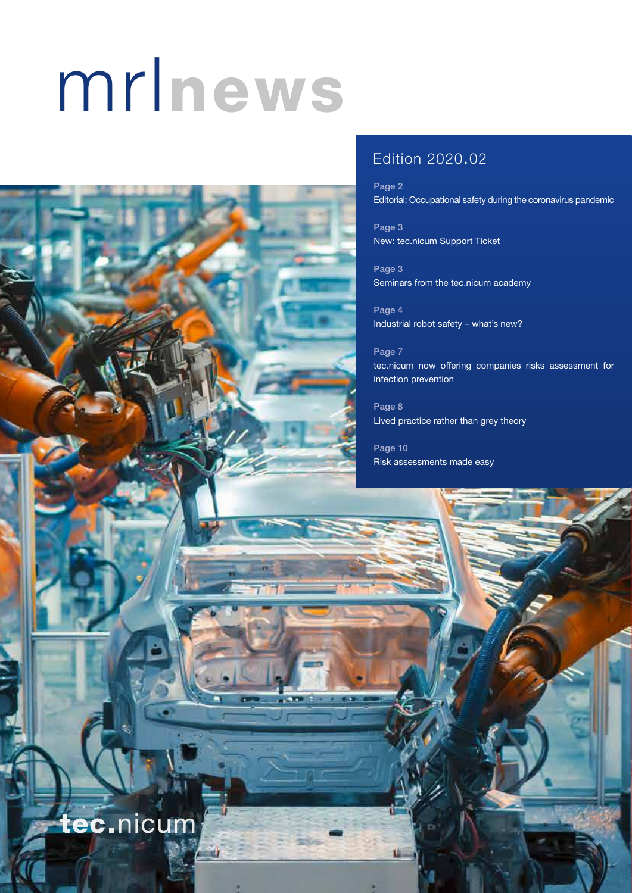# mrlnews



# Edition 2020.02

Page 2 Editorial: Occupational safety during the coronavirus pandemic

Page 3 New: tec.nicum Support Ticket

Page 3 Seminars from the tec.nicum academy

Page 4 Industrial robot safety – what's new?

Page 7 tec.nicum now offering companies risks assessment for infection prevention

Page 8 Lived practice rather than grey theory

Page 10 Risk assessments made easy

tec.nicum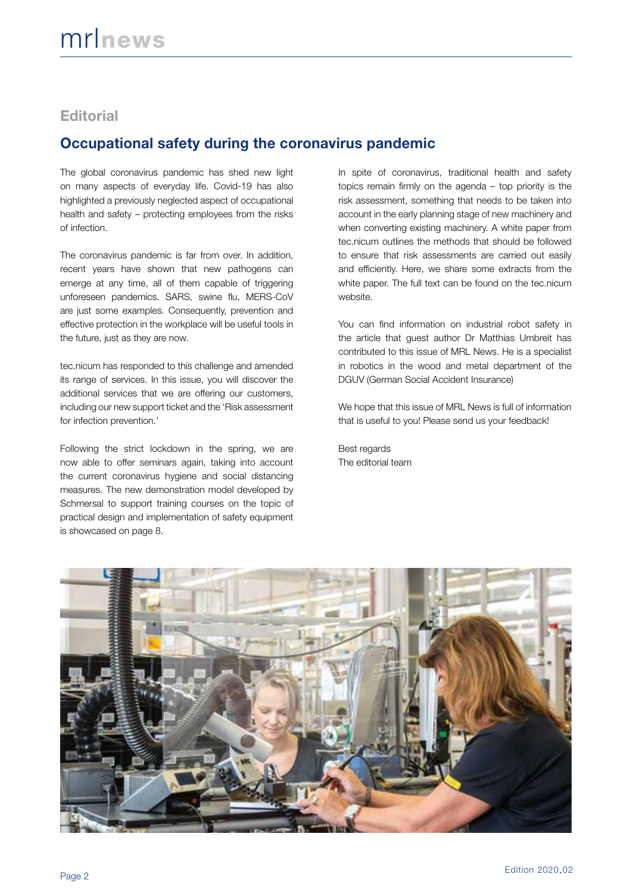## **Editorial**

# **Occupational safety during the coronavirus pandemic**

The global coronavirus pandemic has shed new light on many aspects of everyday life. Covid-19 has also highlighted a previously neglected aspect of occupational health and safety – protecting employees from the risks of infection.

The coronavirus pandemic is far from over. In addition, recent years have shown that new pathogens can emerge at any time, all of them capable of triggering unforeseen pandemics. SARS, swine flu, MERS-CoV are just some examples. Consequently, prevention and effective protection in the workplace will be useful tools in the future, just as they are now.

tec.nicum has responded to this challenge and amended its range of services. In this issue, you will discover the additional services that we are offering our customers, including our new support ticket and the 'Risk assessment for infection prevention.'

Following the strict lockdown in the spring, we are now able to offer seminars again, taking into account the current coronavirus hygiene and social distancing measures. The new demonstration model developed by Schmersal to support training courses on the topic of practical design and implementation of safety equipment is showcased on page 8.

In spite of coronavirus, traditional health and safety topics remain firmly on the agenda – top priority is the risk assessment, something that needs to be taken into account in the early planning stage of new machinery and when converting existing machinery. A white paper from tec.nicum outlines the methods that should be followed to ensure that risk assessments are carried out easily and efficiently. Here, we share some extracts from the white paper. The full text can be found on the tec.nicum website.

You can find information on industrial robot safety in the article that guest author Dr Matthias Umbreit has contributed to this issue of MRL News. He is a specialist in robotics in the wood and metal department of the DGUV (German Social Accident Insurance)

We hope that this issue of MRL News is full of information that is useful to you! Please send us your feedback!

Best regards The editorial team

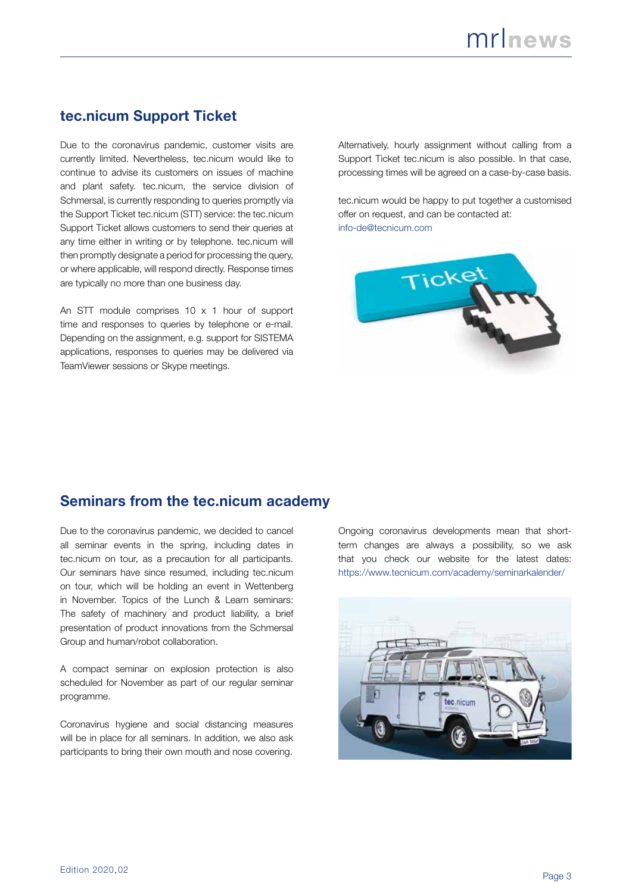# **tec.nicum Support Ticket**

Due to the coronavirus pandemic, customer visits are currently limited. Nevertheless, tec.nicum would like to continue to advise its customers on issues of machine and plant safety. tec.nicum, the service division of Schmersal, is currently responding to queries promptly via the Support Ticket tec.nicum (STT) service: the tec.nicum Support Ticket allows customers to send their queries at any time either in writing or by telephone. tec.nicum will then promptly designate a period for processing the query, or where applicable, will respond directly. Response times are typically no more than one business day.

An STT module comprises 10 x 1 hour of support time and responses to queries by telephone or e-mail. Depending on the assignment, e.g. support for SISTEMA applications, responses to queries may be delivered via TeamViewer sessions or Skype meetings.

Alternatively, hourly assignment without calling from a Support Ticket tec.nicum is also possible. In that case, processing times will be agreed on a case-by-case basis.

tec.nicum would be happy to put together a customised offer on request, and can be contacted at: info-de@tecnicum.com



# **Seminars from the tec.nicum academy**

Due to the coronavirus pandemic, we decided to cancel all seminar events in the spring, including dates in tec.nicum on tour, as a precaution for all participants. Our seminars have since resumed, including tec.nicum on tour, which will be holding an event in Wettenberg in November. Topics of the Lunch & Learn seminars: The safety of machinery and product liability, a brief presentation of product innovations from the Schmersal Group and human/robot collaboration.

A compact seminar on explosion protection is also scheduled for November as part of our regular seminar programme.

Coronavirus hygiene and social distancing measures will be in place for all seminars. In addition, we also ask participants to bring their own mouth and nose covering.

Ongoing coronavirus developments mean that shortterm changes are always a possibility, so we ask that you check our website for the latest dates: https://www.tecnicum.com/academy/seminarkalender/

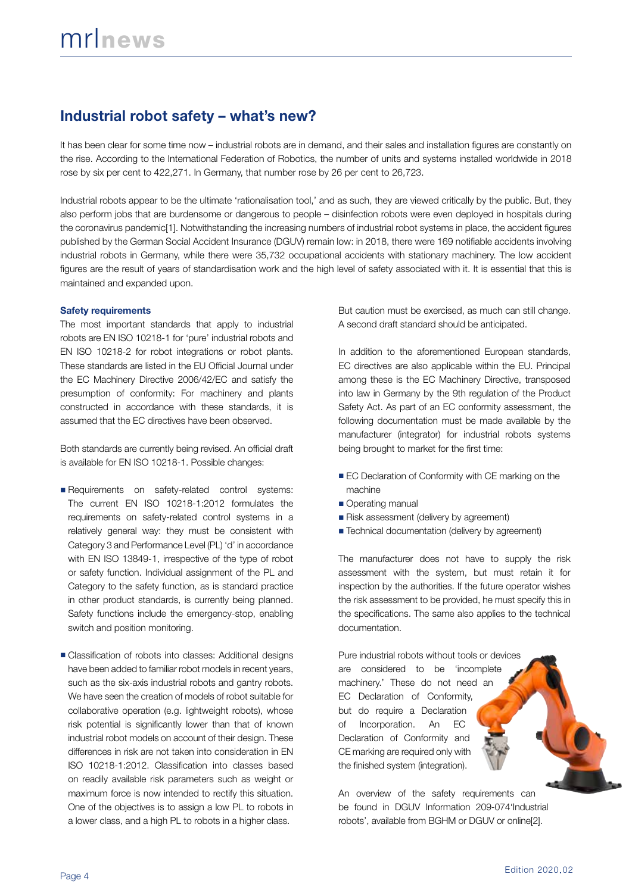# **Industrial robot safety – what's new?**

It has been clear for some time now – industrial robots are in demand, and their sales and installation figures are constantly on the rise. According to the International Federation of Robotics, the number of units and systems installed worldwide in 2018 rose by six per cent to 422,271. In Germany, that number rose by 26 per cent to 26,723.

Industrial robots appear to be the ultimate 'rationalisation tool,' and as such, they are viewed critically by the public. But, they also perform jobs that are burdensome or dangerous to people – disinfection robots were even deployed in hospitals during the coronavirus pandemic[1]. Notwithstanding the increasing numbers of industrial robot systems in place, the accident figures published by the German Social Accident Insurance (DGUV) remain low: in 2018, there were 169 notifiable accidents involving industrial robots in Germany, while there were 35,732 occupational accidents with stationary machinery. The low accident figures are the result of years of standardisation work and the high level of safety associated with it. It is essential that this is maintained and expanded upon.

#### **Safety requirements**

The most important standards that apply to industrial robots are EN ISO 10218-1 for 'pure' industrial robots and EN ISO 10218-2 for robot integrations or robot plants. These standards are listed in the EU Official Journal under the EC Machinery Directive 2006/42/EC and satisfy the presumption of conformity: For machinery and plants constructed in accordance with these standards, it is assumed that the EC directives have been observed.

Both standards are currently being revised. An official draft is available for EN ISO 10218-1. Possible changes:

- Requirements on safety-related control systems: The current EN ISO 10218-1:2012 formulates the requirements on safety-related control systems in a relatively general way: they must be consistent with Category 3 and Performance Level (PL) 'd' in accordance with EN ISO 13849-1, irrespective of the type of robot or safety function. Individual assignment of the PL and Category to the safety function, as is standard practice in other product standards, is currently being planned. Safety functions include the emergency-stop, enabling switch and position monitoring.
- Classification of robots into classes: Additional designs have been added to familiar robot models in recent years, such as the six-axis industrial robots and gantry robots. We have seen the creation of models of robot suitable for collaborative operation (e.g. lightweight robots), whose risk potential is significantly lower than that of known industrial robot models on account of their design. These differences in risk are not taken into consideration in EN ISO 10218-1:2012. Classification into classes based on readily available risk parameters such as weight or maximum force is now intended to rectify this situation. One of the objectives is to assign a low PL to robots in a lower class, and a high PL to robots in a higher class.

But caution must be exercised, as much can still change. A second draft standard should be anticipated.

In addition to the aforementioned European standards, EC directives are also applicable within the EU. Principal among these is the EC Machinery Directive, transposed into law in Germany by the 9th regulation of the Product Safety Act. As part of an EC conformity assessment, the following documentation must be made available by the manufacturer (integrator) for industrial robots systems being brought to market for the first time:

- EC Declaration of Conformity with CE marking on the machine
- Operating manual
- Risk assessment (delivery by agreement)
- Technical documentation (delivery by agreement)

The manufacturer does not have to supply the risk assessment with the system, but must retain it for inspection by the authorities. If the future operator wishes the risk assessment to be provided, he must specify this in the specifications. The same also applies to the technical documentation.

Pure industrial robots without tools or devices are considered to be 'incomplete machinery.' These do not need an EC Declaration of Conformity, but do require a Declaration of Incorporation. An EC Declaration of Conformity and CE marking are required only with the finished system (integration).

An overview of the safety requirements can be found in DGUV Information 209-074'Industrial robots', available from BGHM or DGUV or online[2].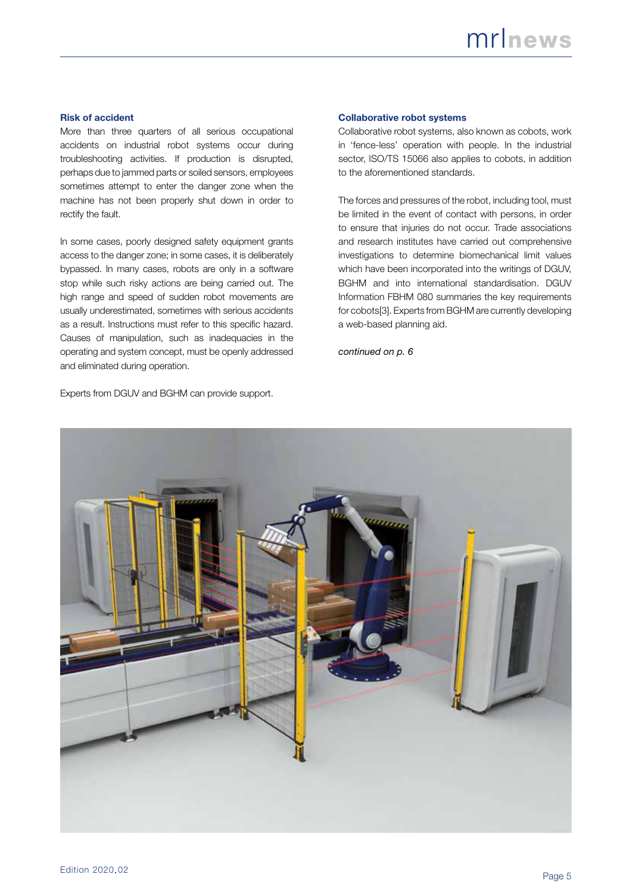#### **Risk of accident**

More than three quarters of all serious occupational accidents on industrial robot systems occur during troubleshooting activities. If production is disrupted, perhaps due to jammed parts or soiled sensors, employees sometimes attempt to enter the danger zone when the machine has not been properly shut down in order to rectify the fault.

In some cases, poorly designed safety equipment grants access to the danger zone; in some cases, it is deliberately bypassed. In many cases, robots are only in a software stop while such risky actions are being carried out. The high range and speed of sudden robot movements are usually underestimated, sometimes with serious accidents as a result. Instructions must refer to this specific hazard. Causes of manipulation, such as inadequacies in the operating and system concept, must be openly addressed and eliminated during operation.

Experts from DGUV and BGHM can provide support.

#### **Collaborative robot systems**

Collaborative robot systems, also known as cobots, work in 'fence-less' operation with people. In the industrial sector, ISO/TS 15066 also applies to cobots, in addition to the aforementioned standards.

The forces and pressures of the robot, including tool, must be limited in the event of contact with persons, in order to ensure that injuries do not occur. Trade associations and research institutes have carried out comprehensive investigations to determine biomechanical limit values which have been incorporated into the writings of DGUV, BGHM and into international standardisation. DGUV Information FBHM 080 summaries the key requirements for cobots[3]. Experts from BGHM are currently developing a web-based planning aid.

*continued on p. 6*

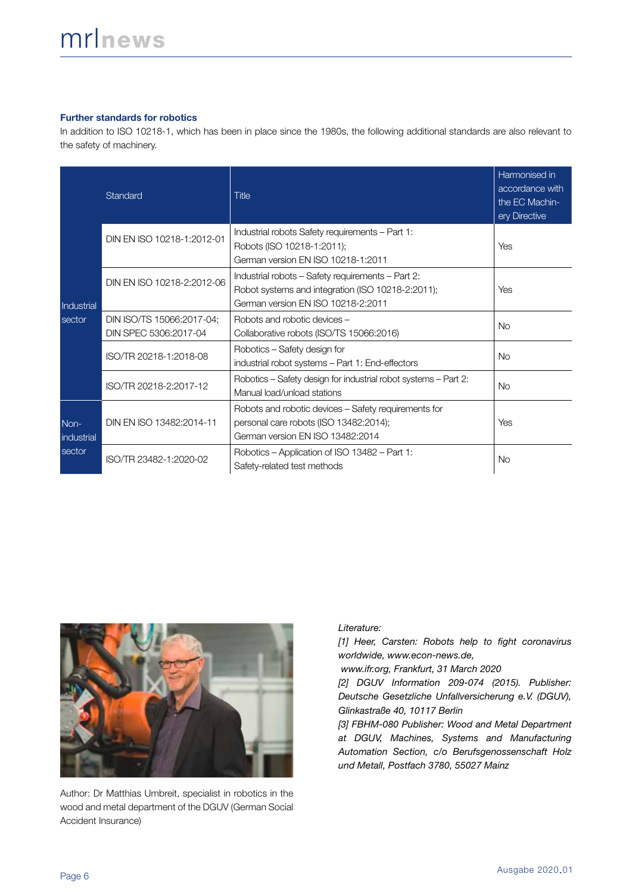#### **Further standards for robotics**

In addition to ISO 10218-1, which has been in place since the 1980s, the following additional standards are also relevant to the safety of machinery.

|                              | Standard                                           | Title                                                                                                                                        | Harmonised in<br>accordance with<br>the EC Machin-<br>ery Directive |
|------------------------------|----------------------------------------------------|----------------------------------------------------------------------------------------------------------------------------------------------|---------------------------------------------------------------------|
| Industrial<br>sector         | DIN EN ISO 10218-1:2012-01                         | Industrial robots Safety requirements - Part 1:<br>Robots (ISO 10218-1:2011);<br>German version EN ISO 10218-1:2011                          | Yes                                                                 |
|                              | DIN EN ISO 10218-2:2012-06                         | Industrial robots - Safety requirements - Part 2:<br>Robot systems and integration (ISO 10218-2:2011);<br>German version EN ISO 10218-2:2011 | Yes                                                                 |
|                              | DIN ISO/TS 15066:2017-04;<br>DIN SPEC 5306:2017-04 | Robots and robotic devices -<br>Collaborative robots (ISO/TS 15066:2016)                                                                     | <b>No</b>                                                           |
|                              | ISO/TR 20218-1:2018-08                             | Robotics - Safety design for<br>industrial robot systems - Part 1: End-effectors                                                             | <b>No</b>                                                           |
|                              | ISO/TR 20218-2:2017-12                             | Robotics – Safety design for industrial robot systems – Part 2:<br>Manual load/unload stations                                               | <b>No</b>                                                           |
| Non-<br>industrial<br>sector | DIN EN ISO 13482:2014-11                           | Robots and robotic devices – Safety requirements for<br>personal care robots (ISO 13482:2014);<br>German version EN ISO 13482:2014           | Yes                                                                 |
|                              | ISO/TR 23482-1:2020-02                             | Robotics – Application of ISO 13482 – Part 1:<br>Safety-related test methods                                                                 | No.                                                                 |



Author: Dr Matthias Umbreit, specialist in robotics in the wood and metal department of the DGUV (German Social Accident Insurance)

*Literature:*

*[1] Heer, Carsten: Robots help to fight coronavirus worldwide, www.econ-news.de,*

 *www.ifr.org, Frankfurt, 31 March 2020*

*[2] DGUV Information 209-074 (2015). Publisher: Deutsche Gesetzliche Unfallversicherung e.V. (DGUV), Glinkastraße 40, 10117 Berlin*

*[3] FBHM-080 Publisher: Wood and Metal Department at DGUV, Machines, Systems and Manufacturing Automation Section, c/o Berufsgenossenschaft Holz und Metall, Postfach 3780, 55027 Mainz*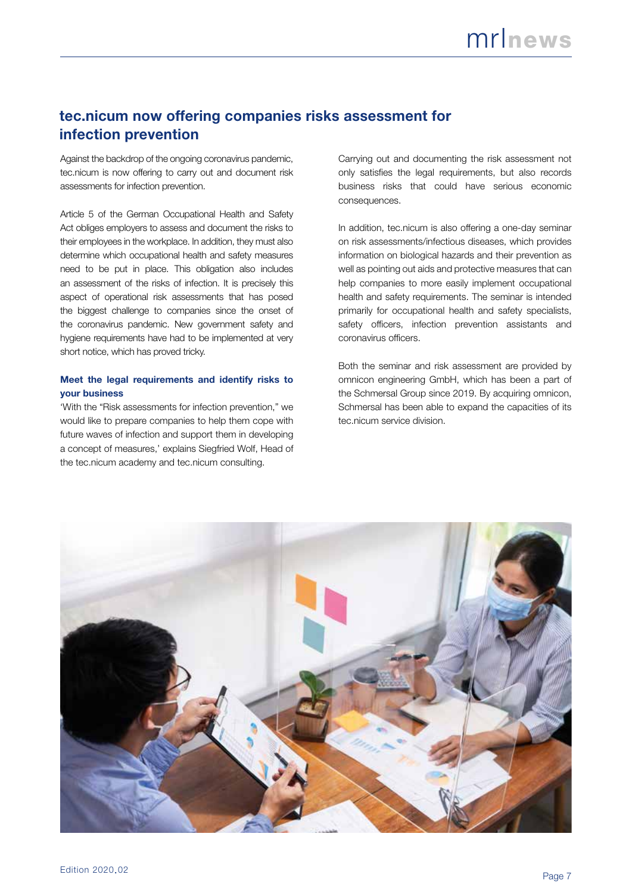# **tec.nicum now offering companies risks assessment for infection prevention**

Against the backdrop of the ongoing coronavirus pandemic, tec.nicum is now offering to carry out and document risk assessments for infection prevention.

Article 5 of the German Occupational Health and Safety Act obliges employers to assess and document the risks to their employees in the workplace. In addition, they must also determine which occupational health and safety measures need to be put in place. This obligation also includes an assessment of the risks of infection. It is precisely this aspect of operational risk assessments that has posed the biggest challenge to companies since the onset of the coronavirus pandemic. New government safety and hygiene requirements have had to be implemented at very short notice, which has proved tricky.

#### **Meet the legal requirements and identify risks to your business**

'With the "Risk assessments for infection prevention," we would like to prepare companies to help them cope with future waves of infection and support them in developing a concept of measures,' explains Siegfried Wolf, Head of the tec.nicum academy and tec.nicum consulting.

Carrying out and documenting the risk assessment not only satisfies the legal requirements, but also records business risks that could have serious economic consequences.

In addition, tec.nicum is also offering a one-day seminar on risk assessments/infectious diseases, which provides information on biological hazards and their prevention as well as pointing out aids and protective measures that can help companies to more easily implement occupational health and safety requirements. The seminar is intended primarily for occupational health and safety specialists, safety officers, infection prevention assistants and coronavirus officers.

Both the seminar and risk assessment are provided by omnicon engineering GmbH, which has been a part of the Schmersal Group since 2019. By acquiring omnicon, Schmersal has been able to expand the capacities of its tec.nicum service division.

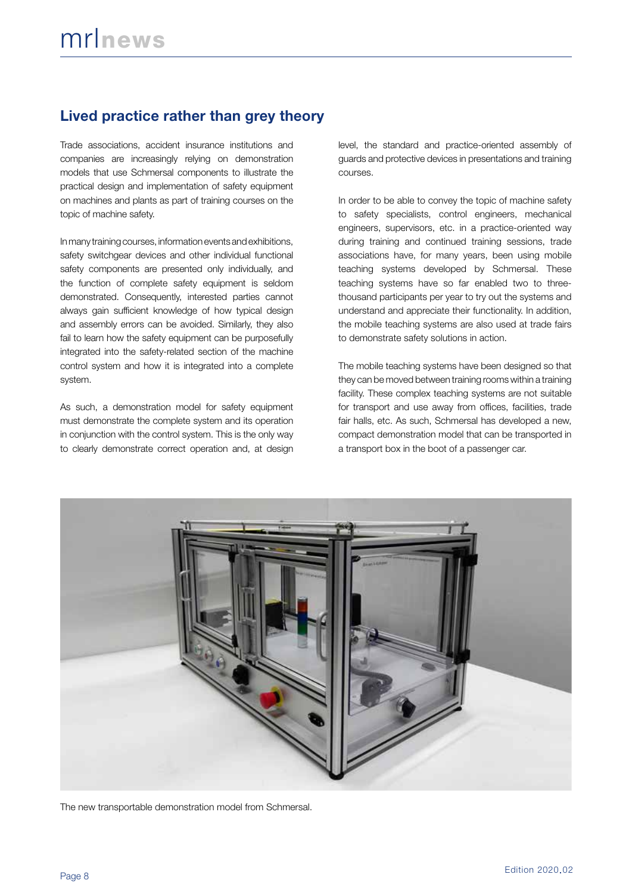# **Lived practice rather than grey theory**

Trade associations, accident insurance institutions and companies are increasingly relying on demonstration models that use Schmersal components to illustrate the practical design and implementation of safety equipment on machines and plants as part of training courses on the topic of machine safety.

In many training courses, information events and exhibitions, safety switchgear devices and other individual functional safety components are presented only individually, and the function of complete safety equipment is seldom demonstrated. Consequently, interested parties cannot always gain sufficient knowledge of how typical design and assembly errors can be avoided. Similarly, they also fail to learn how the safety equipment can be purposefully integrated into the safety-related section of the machine control system and how it is integrated into a complete system.

As such, a demonstration model for safety equipment must demonstrate the complete system and its operation in conjunction with the control system. This is the only way to clearly demonstrate correct operation and, at design level, the standard and practice-oriented assembly of guards and protective devices in presentations and training courses.

In order to be able to convey the topic of machine safety to safety specialists, control engineers, mechanical engineers, supervisors, etc. in a practice-oriented way during training and continued training sessions, trade associations have, for many years, been using mobile teaching systems developed by Schmersal. These teaching systems have so far enabled two to threethousand participants per year to try out the systems and understand and appreciate their functionality. In addition, the mobile teaching systems are also used at trade fairs to demonstrate safety solutions in action.

The mobile teaching systems have been designed so that they can be moved between training rooms within a training facility. These complex teaching systems are not suitable for transport and use away from offices, facilities, trade fair halls, etc. As such, Schmersal has developed a new, compact demonstration model that can be transported in a transport box in the boot of a passenger car.



The new transportable demonstration model from Schmersal.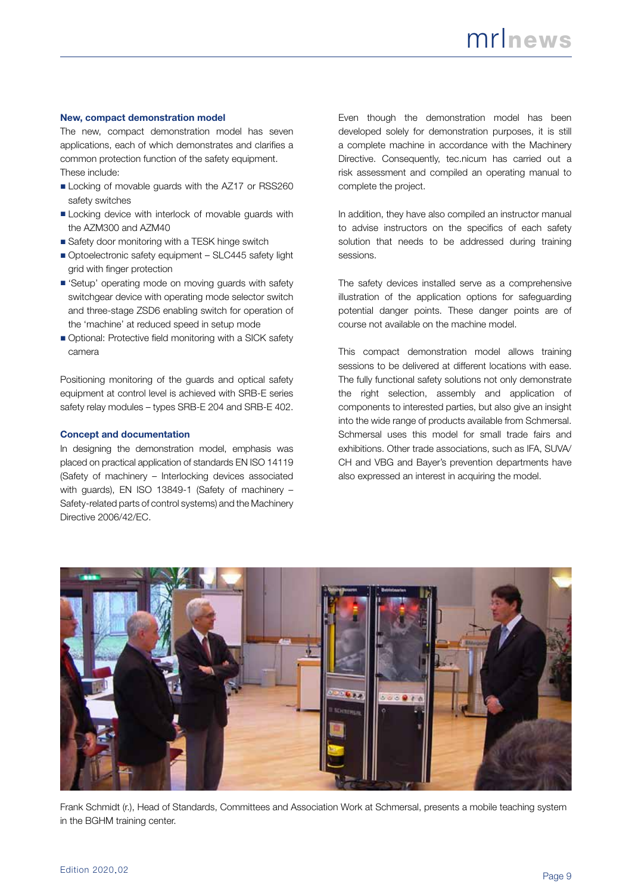#### **New, compact demonstration model**

The new, compact demonstration model has seven applications, each of which demonstrates and clarifies a common protection function of the safety equipment. These include:

- Locking of movable guards with the AZ17 or RSS260 safety switches
- Locking device with interlock of movable guards with the AZM300 and AZM40
- Safety door monitoring with a TESK hinge switch
- Optoelectronic safety equipment SLC445 safety light grid with finger protection
- 'Setup' operating mode on moving guards with safety switchgear device with operating mode selector switch and three-stage ZSD6 enabling switch for operation of the 'machine' at reduced speed in setup mode
- Optional: Protective field monitoring with a SICK safety camera

Positioning monitoring of the guards and optical safety equipment at control level is achieved with SRB-E series safety relay modules – types SRB-E 204 and SRB-E 402.

#### **Concept and documentation**

In designing the demonstration model, emphasis was placed on practical application of standards EN ISO 14119 (Safety of machinery – Interlocking devices associated with guards), EN ISO 13849-1 (Safety of machinery – Safety-related parts of control systems) and the Machinery Directive 2006/42/EC.

Even though the demonstration model has been developed solely for demonstration purposes, it is still a complete machine in accordance with the Machinery Directive. Consequently, tec.nicum has carried out a risk assessment and compiled an operating manual to complete the project.

In addition, they have also compiled an instructor manual to advise instructors on the specifics of each safety solution that needs to be addressed during training sessions.

The safety devices installed serve as a comprehensive illustration of the application options for safeguarding potential danger points. These danger points are of course not available on the machine model.

This compact demonstration model allows training sessions to be delivered at different locations with ease. The fully functional safety solutions not only demonstrate the right selection, assembly and application of components to interested parties, but also give an insight into the wide range of products available from Schmersal. Schmersal uses this model for small trade fairs and exhibitions. Other trade associations, such as IFA, SUVA/ CH and VBG and Bayer's prevention departments have also expressed an interest in acquiring the model.



Frank Schmidt (r.), Head of Standards, Committees and Association Work at Schmersal, presents a mobile teaching system in the BGHM training center.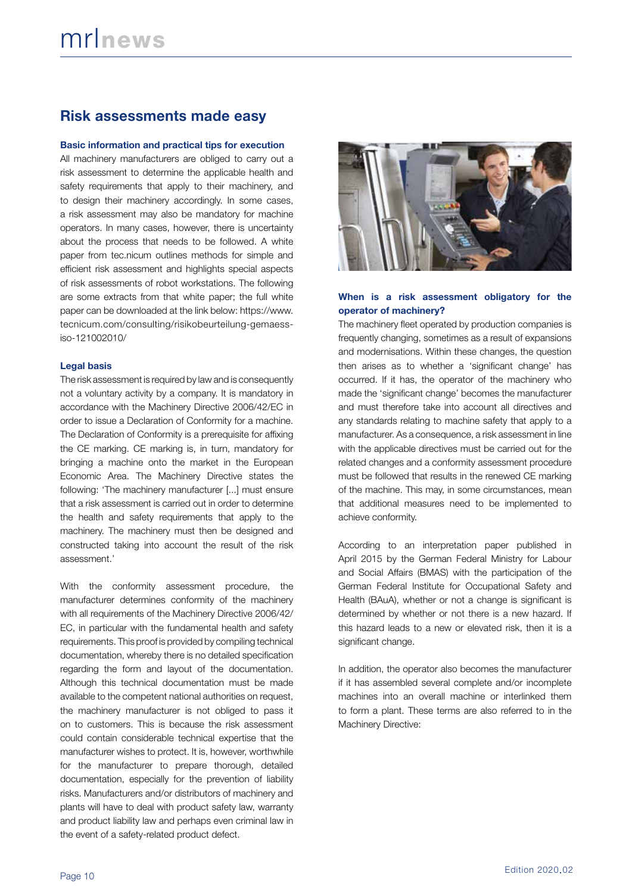## **Risk assessments made easy**

#### **Basic information and practical tips for execution**

All machinery manufacturers are obliged to carry out a risk assessment to determine the applicable health and safety requirements that apply to their machinery, and to design their machinery accordingly. In some cases, a risk assessment may also be mandatory for machine operators. In many cases, however, there is uncertainty about the process that needs to be followed. A white paper from tec.nicum outlines methods for simple and efficient risk assessment and highlights special aspects of risk assessments of robot workstations. The following are some extracts from that white paper; the full white paper can be downloaded at the link below: https://www. tecnicum.com/consulting/risikobeurteilung-gemaessiso-121002010/

#### **Legal basis**

The risk assessment is required by law and is consequently not a voluntary activity by a company. It is mandatory in accordance with the Machinery Directive 2006/42/EC in order to issue a Declaration of Conformity for a machine. The Declaration of Conformity is a prerequisite for affixing the CE marking. CE marking is, in turn, mandatory for bringing a machine onto the market in the European Economic Area. The Machinery Directive states the following: 'The machinery manufacturer [...] must ensure that a risk assessment is carried out in order to determine the health and safety requirements that apply to the machinery. The machinery must then be designed and constructed taking into account the result of the risk assessment.'

With the conformity assessment procedure, the manufacturer determines conformity of the machinery with all requirements of the Machinery Directive 2006/42/ EC, in particular with the fundamental health and safety requirements. This proof is provided by compiling technical documentation, whereby there is no detailed specification regarding the form and layout of the documentation. Although this technical documentation must be made available to the competent national authorities on request, the machinery manufacturer is not obliged to pass it on to customers. This is because the risk assessment could contain considerable technical expertise that the manufacturer wishes to protect. It is, however, worthwhile for the manufacturer to prepare thorough, detailed documentation, especially for the prevention of liability risks. Manufacturers and/or distributors of machinery and plants will have to deal with product safety law, warranty and product liability law and perhaps even criminal law in the event of a safety-related product defect.



#### **When is a risk assessment obligatory for the operator of machinery?**

The machinery fleet operated by production companies is frequently changing, sometimes as a result of expansions and modernisations. Within these changes, the question then arises as to whether a 'significant change' has occurred. If it has, the operator of the machinery who made the 'significant change' becomes the manufacturer and must therefore take into account all directives and any standards relating to machine safety that apply to a manufacturer. As a consequence, a risk assessment in line with the applicable directives must be carried out for the related changes and a conformity assessment procedure must be followed that results in the renewed CE marking of the machine. This may, in some circumstances, mean that additional measures need to be implemented to achieve conformity.

According to an interpretation paper published in April 2015 by the German Federal Ministry for Labour and Social Affairs (BMAS) with the participation of the German Federal Institute for Occupational Safety and Health (BAuA), whether or not a change is significant is determined by whether or not there is a new hazard. If this hazard leads to a new or elevated risk, then it is a significant change.

In addition, the operator also becomes the manufacturer if it has assembled several complete and/or incomplete machines into an overall machine or interlinked them to form a plant. These terms are also referred to in the Machinery Directive: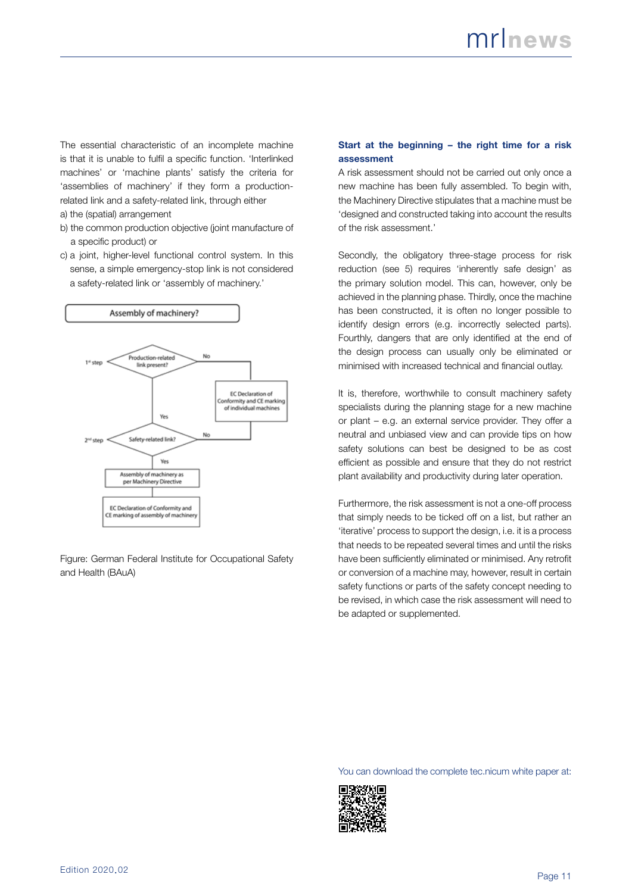The essential characteristic of an incomplete machine is that it is unable to fulfil a specific function. 'Interlinked machines' or 'machine plants' satisfy the criteria for 'assemblies of machinery' if they form a productionrelated link and a safety-related link, through either a) the (spatial) arrangement

- b) the common production objective (joint manufacture of a specific product) or
- c) a joint, higher-level functional control system. In this sense, a simple emergency-stop link is not considered a safety-related link or 'assembly of machinery.'



Figure: German Federal Institute for Occupational Safety and Health (BAuA)

#### **Start at the beginning – the right time for a risk assessment**

A risk assessment should not be carried out only once a new machine has been fully assembled. To begin with, the Machinery Directive stipulates that a machine must be 'designed and constructed taking into account the results of the risk assessment.'

Secondly, the obligatory three-stage process for risk reduction (see 5) requires 'inherently safe design' as the primary solution model. This can, however, only be achieved in the planning phase. Thirdly, once the machine has been constructed, it is often no longer possible to identify design errors (e.g. incorrectly selected parts). Fourthly, dangers that are only identified at the end of the design process can usually only be eliminated or minimised with increased technical and financial outlay.

It is, therefore, worthwhile to consult machinery safety specialists during the planning stage for a new machine or plant – e.g. an external service provider. They offer a neutral and unbiased view and can provide tips on how safety solutions can best be designed to be as cost efficient as possible and ensure that they do not restrict plant availability and productivity during later operation.

Furthermore, the risk assessment is not a one-off process that simply needs to be ticked off on a list, but rather an 'iterative' process to support the design, i.e. it is a process that needs to be repeated several times and until the risks have been sufficiently eliminated or minimised. Any retrofit or conversion of a machine may, however, result in certain safety functions or parts of the safety concept needing to be revised, in which case the risk assessment will need to be adapted or supplemented.

You can download the complete tec.nicum white paper at: